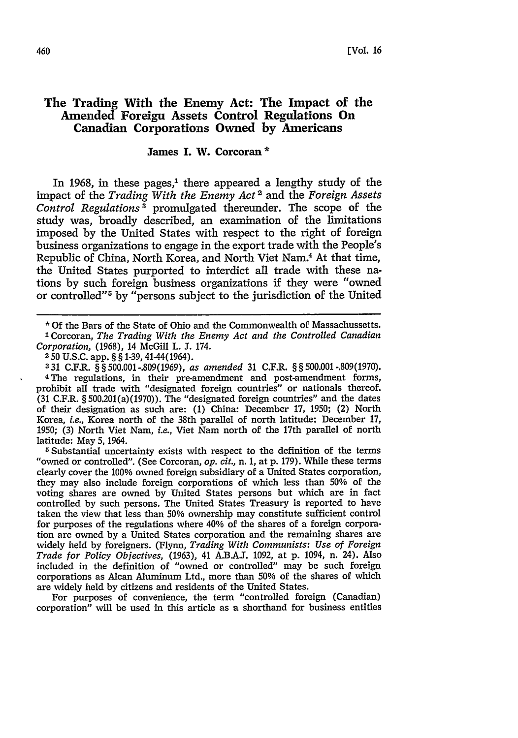# **The Trading With the Enemy Act: The Impact of the Amended Foreign Assets Control Regulations On Canadian Corporations Owned by Americans**

# **James I. W. Corcoran \***

In 1968, in these pages, $1$  there appeared a lengthy study of the impact of the *Trading With the Enemy Act 2* and the *Foreign Assets Control Regulations3* promulgated thereunder. The scope of the study was, broadly described, an examination of the limitations imposed by the United States with respect to the right of foreign business organizations to engage in the export trade with the People's Republic of China, North Korea, and North Viet Nam.4 At that time, the United States purported to interdict all trade with these nations by such foreign business organizations if they were "owned or controlled"<sup>5</sup> by "persons subject to the jurisdiction of the United

**\* Of** the Bars of the State of Ohio and the Commonwealth of Massachussetts. 'Corcoran, *The Trading With the Enemy Act and the Controlled Canadian Corporation,* (1968), 14 McGill L. J. 174.

**331** C.F.R. **§ §** 500.001-.809(1969), *as amended* 31 C.F.R. **§ §** 500.001 -.809(1970). 4The regulations, in their pre-amendment and post-amendment forms, prohibit all trade with "designated foreign countries" or nationals thereof. **(31** C.F.R. **§** 500.201(a)(1970)). The "designated foreign countries" and the dates of their designation as such are: (1) China: December 17, 1950; (2) North Korea, *i.e.,* Korea north of the 38th parallel of north latitude: December 17, 1950; (3) North Viet Nam, *i.e.,* Viet Nam north of the 17th parallel of north latitude: May 5, 1964.

5 Substantial uncertainty exists with respect to the definition of the terms "owned or controlled". (See Corcoran, *op. cit.,* n. 1, at p. 179). While these terms clearly cover the 100% owned foreign subsidiary of a United States corporation, they may also include foreign corporations of which less than **50%** of the voting shares are owned by United States persons but which are in fact controlled by such persons. The United States Treasury is reported to have taken the view that less than 50% ownership may constitute sufficient control for purposes of the regulations where 40% of the shares of a foreign corporation are owned by a United States corporation and the remaining shares are widely held by foreigners. (Flynn, *Trading With Communists: Use of Foreign Trade for Policy Objectives,* (1963), 41 A.B.A.I. 1092, at p. 1094, n. 24). Also included in the definition of "owned or controlled" may be such foreign corporations as Alcan Aluminum Ltd., more than 50% of the shares of which are widely held by citizens and residents of the United States.

For purposes of convenience, the term "controlled foreign (Canadian) corporation" will be used in this article as a shorthand for business entities

<sup>250</sup> U.S.C. app. **§ §** 1-39, 41-44(1964).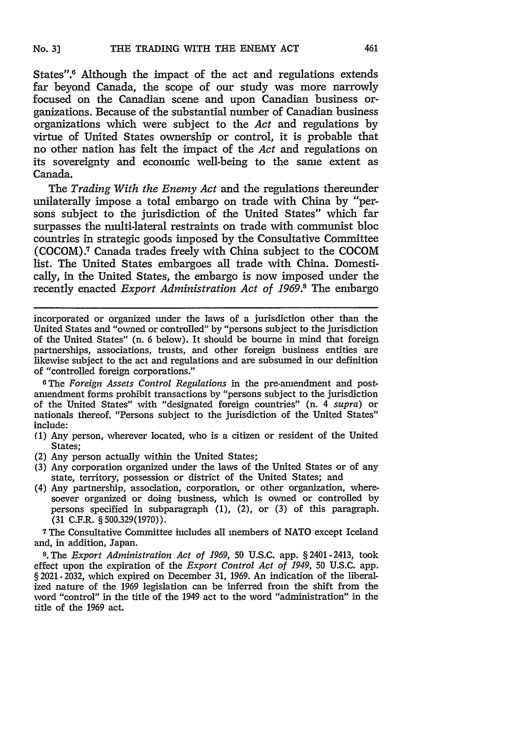States".<sup>6</sup> Although the impact of the act and regulations extends far beyond Canada, the scope of our study was more narrowly focused on the Canadian scene and upon Canadian business organizations. Because of the substantial number of Canadian business organizations which were subject to the *Act* and regulations by virtue of United States ownership or control, it is probable that no other nation has felt the impact of the *Act* and regulations on its sovereignty and economic well-being to the same extent as Canada.

The *Trading With the Enemy Act* and the regulations thereunder unilaterally impose a total embargo on trade with China by "persons subject to the jurisdiction of the United States" which far surpasses the multi-lateral restraints on trade with communist bloc countries in strategic goods imposed by the Consultative Committee (COCOM).<sup>7</sup> Canada trades freely with China subject to the COCOM list. The United States embargoes all trade with China. Domestically, in the United States, the embargo is now imposed under the recently enacted *Export Administration Act of 1969.8* The embargo

incorporated or organized under the laws of a jurisdiction other than the United States and "owned or controlled" by "persons subject to the jurisdiction of the United States" (n. 6 below). It should be bourne in mind that foreign partnerships, associations, trusts, and other foreign business entities are likewise subject to the act and regulations and are subsumed in our definition of "controlled foreign corporations."

*OThe Foreign Assets Control Regulations* in the pre-amendment and postamendment forms prohibit transactions by "persons subject to the jurisdiction of the United States" with "designated foreign countries" (n. 4 *supra)* or nationals thereof. "Persons subject to the jurisdiction of the United States" include:

- **(1)** Any person, wherever located, who is a citizen or resident of the United States;
- (2) Any person actually within the United States;
- (3) Any corporation organized under the laws of the United States or of any state, territory, possession or district of the United States; and
- (4) Any partnership, association, corporation, or other organization, wheresoever organized or doing business, which is owned or controlled by persons specified in subparagraph (1), (2), or (3) of this paragraph. **(31** C.F.R. § 500.329(1970)).

**<sup>7</sup>**The Consultative Committee includes all members of NATO except Iceland and, in addition, Japan.

**8.** The *Export Administration Act of 1969,* 50 U.S.C. app. § 2401 -2413, took effect upon the expiration of the *Export Control Act of 1949,* 50 U.S.C. app. § 2021-2032, which expired on December **31, 1969.** An indication of the liberalized nature of the **1969** legislation can be inferred from the shift from the word "control" in the title of the 1949 act to the word "administration" in the title of the **1969** act.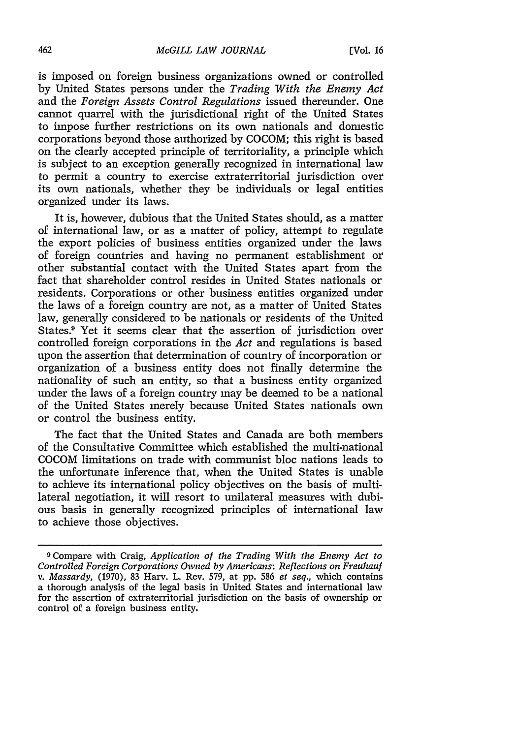is imposed on foreign business organizations owned or controlled by United States persons under the *Trading With the Enemy Act* and the *Foreign Assets Control Regulations* issued thereunder. One cannot quarrel with the jurisdictional right of the United States to impose further restrictions on its own nationals and domestic corporations beyond those authorized by COCOM; this right is based on the clearly accepted principle of territoriality, a principle which is subject to an exception generally recognized in international law to permit a country to exercise extraterritorial jurisdiction over its own nationals, whether they be individuals or legal entities organized under its laws.

It is, however, dubious that the United States should, as a matter of international law, or as a matter of policy, attempt to regulate the export policies of business entities organized under the laws of foreign countries and having no permanent establishment or other substantial contact with the United States apart from the fact that shareholder control resides in United States nationals or residents. Corporations or other business entities organized under the laws of a foreign country are not, as a matter of United States law, generally considered to be nationals or residents of the United States.<sup>9</sup> Yet it seems clear that the assertion of jurisdiction over controlled foreign corporations in the *Act* and regulations is based upon the assertion that determination of country of incorporation or organization of a business entity does not finally determine the nationality of such an entity, so that a business entity organized under the laws of a foreign country may be deemed to be a national of the United States merely because United States nationals own or control the business entity.

The fact that the United States and Canada are both members of the Consultative Committee which established the multi-national COCOM limitations on trade with communist bloc nations leads to the unfortunate inference that, when the United States is unable to achieve its international policy objectives on the basis of multilateral negotiation, it will resort to unilateral measures with dubious basis in generally recognized principles of international law to achieve those objectives.

**<sup>9</sup>** Compare with Craig, *Application of the Trading With the Enemy Act to Controlled Foreign Corporations Owned by Americans: Reflections on Freuhauf v. Massardy,* (1970), 83 Harv. L. Rev. 579, at pp. **586** *et seq.,* which contains a thorough analysis of the legal basis in United States and international law for the assertion of extraterritorial jurisdiction on the basis of ownership or control of a foreign business entity.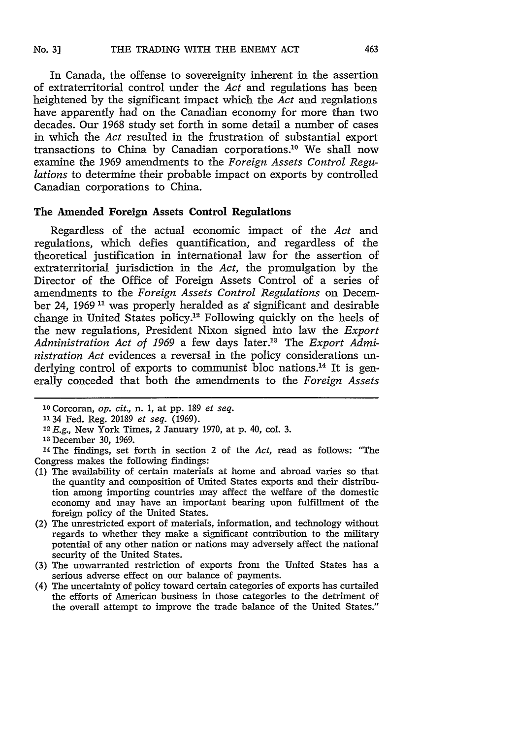In Canada, the offense to sovereignity inherent in the assertion of extraterritorial control under the *Act* and regulations has been heightened by the significant impact which the *Act* and regulations have apparently had on the Canadian economy for more than two decades. Our 1968 study set forth in some detail a number of cases in which the *Act* resulted in the frustration of substantial export transactions to China by Canadian corporations.<sup>10</sup> We shall now examine the 1969 amendments to the *Foreign Assets Control Regulations* to determine their probable impact on exports by controlled Canadian corporations to China.

#### **The Amended Foreign Assets Control Regulations**

Regardless of the actual economic impact of the *Act* and regulations, which defies quantification, and regardless of the theoretical justification in international law for the assertion of extraterritorial jurisdiction in the *Act,* the promulgation by the Director of the Office of Foreign Assets Control of a series of amendments to the *Foreign Assets Control Regulations* on December 24, 1969<sup>11</sup> was properly heralded as a significant and desirable change in United States policy.<sup>12</sup> Following quickly on the heels of the new regulations, President Nixon signed into law the *Export* Administration Act of 1969 a few days later.<sup>13</sup> The *Export Administration Act* evidences a reversal in the policy considerations underlying control of exports to communist bloc nations.<sup>14</sup> It is generally conceded that both the amendments to the *Foreign Assets*

*12E.g.,* New York Times, 2 January 1970, at p. 40, col. 3.

14The findings, set forth in section 2 of the *Act,* read as follows: "The Congress makes the following findings:

- (1) The availability of certain materials at home and abroad varies so that the quantity and composition of United States exports and their distribution among importing countries may affect the welfare of the domestic economy and may have an important bearing upon fulfillment of the foreign policy of the United States.
- (2) The unrestricted export of materials, information, and technology without regards to whether they make a significant contribution to the military potential of any other nation or nations may adversely affect the national security of the United States.
- (3) The unwarranted restriction of exports from the United States has a serious adverse effect on our balance of payments.
- (4) The uncertainty of policy toward certain categories of exports has curtailed the efforts of American business in those categories to the detriment of the overall attempt to improve the trade balance of the United States."

**<sup>10</sup>**Corcoran, *op. cit.,* n. 1, at pp. 189 *et seq.*

**<sup>11</sup>**34 Fed. Reg. 20189 *et seq.* (1969).

**<sup>&#</sup>x27;3** December 30, 1969.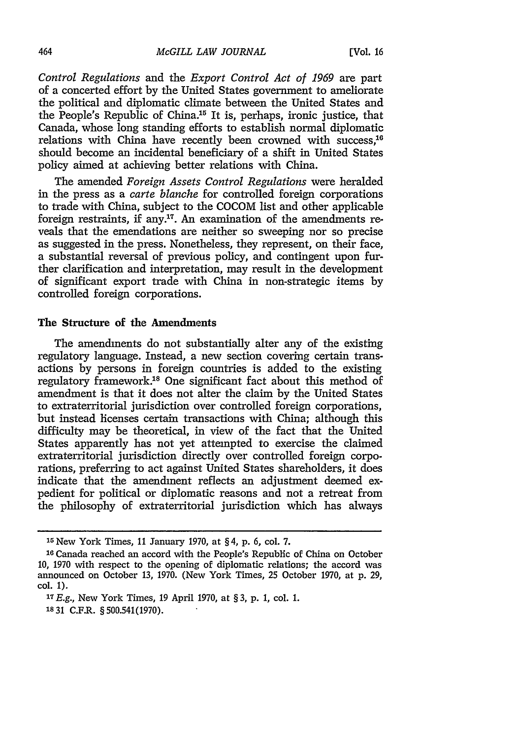*Control Regulations* and the *Export Control Act of 1969* are part of a concerted effort by the United States government to ameliorate the political and diplomatic climate between the United States and the People's Republic of China.<sup>15</sup> It is, perhaps, ironic justice, that Canada, whose long standing efforts to establish normal diplomatic relations with China have recently been crowned with success,<sup>10</sup> should become an incidental beneficiary of a shift in United States policy aimed at achieving better relations with China.

The amended *Foreign Assets Control Regulations* were heralded in the press as a *carte blanche* for controlled foreign corporations to trade with China, subject to the COCOM list and other applicable foreign restraints, if any.<sup>17</sup>. An examination of the amendments reveals that the emendations are neither so sweeping nor so precise as suggested in the press. Nonetheless, they represent, on their face, a substantial reversal of previous policy, and contingent upon further clarification and interpretation, may result in the development of significant export trade with China in non-strategic items by controlled foreign corporations.

### The Structure of the Amendments

The amendments do not substantially alter any of the existing regulatory language. Instead, a new section covering certain transactions by persons in foreign countries is added to the existing regulatory framework.'8 One significant fact about this method of amendment is that it does not alter the claim by the United States to extraterritorial jurisdiction over controlled foreign corporations, but instead licenses certain transactions with China; although this difficulty may be theoretical, in view of the fact that the United States apparently has not yet attempted to exercise the claimed extraterritorial jurisdiction directly over controlled foreign corporations, preferring to act against United States shareholders, it does indicate that the amendment reflects an adjustment deemed expedient for political or diplomatic reasons and not a retreat from the philosophy of extraterritorial jurisdiction which has always

**<sup>15</sup>**New York Times, 11 January 1970, at § 4, p. 6, col. 7.

**<sup>16</sup>**Canada reached an accord with the People's Republic of China on October 10, 1970 with respect to the opening of diplomatic relations; the accord was announced on October 13, 1970. (New York Times, 25 October 1970, at p. 29, col. 1).

*<sup>17</sup>E.g.,* New York Times, 19 April 1970, at § 3, p. 1, col. 1. 1831 C.F.R. § 500.541(1970).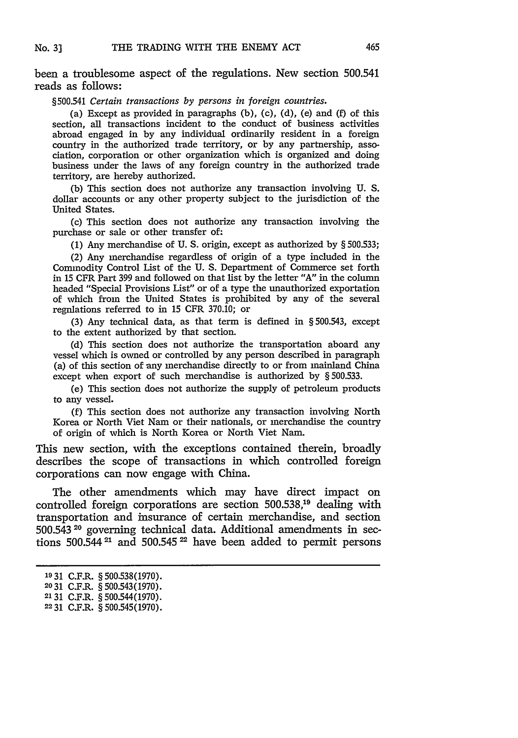been a troublesome aspect of the regulations. New section 500.541 reads as follows:

*§500.541 Certain transactions by persons in foreign countries.*

(a) Except as provided in paragraphs  $(b)$ ,  $(c)$ ,  $(d)$ ,  $(e)$  and  $(f)$  of this section, all transactions incident to the conduct of business activities abroad engaged in **by** any individual ordinarily resident in a foreign country in the authorized trade territory, or by any partnership, association, corporation or other organization which is organized and doing business under the laws of any foreign country in the authorized trade territory, are hereby authorized.

(b) This section does not authorize any transaction involving U. S. dollar accounts or any other property subject to the jurisdiction of the United States.

(c) This section does not authorize any transaction involving the purchase or sale or other transfer of:

**(1)** Any merchandise of U. S. origin, except as authorized by § 500.533;

(2) Any merchandise regardless of origin of a type included in the Commodity Control List of the U. S. Department of Commerce set forth in 15 CFR Part 399 and followed on that list by the letter "A" in the column headed "Special Provisions List" or of a type the unauthorized exportation of which from the United States is prohibited by any of the several regnlations referred to in 15 CFR 370.10; or

(3) Any technical data, as that term is defined in § 500.543, except to the extent authorized by that section.

(d) This section does not authorize the transportation aboard any vessel which is owned or controlled by any person described in paragraph (a) of this section of any merchandise directly to or from mainland China except when export of such merchandise is authorized by § 500.533.

(e) This section does not authorize the supply of petroleum products to any vessel.

(f) This section does not authorize any transaction involving North Korea or North Viet Nam or their nationals, or merchandise the country of origin of which is North Korea or North Viet Nam.

This new section, with the exceptions contained therein, broadly describes the scope of transactions in which controlled foreign corporations can now engage with China.

The other amendments which may have direct impact on controlled foreign corporations are section 500.538,19 dealing with transportation and insurance of certain merchandise, and section 500.543 20 governing technical data. Additional amendments in sections 500.544 **21** and **500.545** 22 have been added to permit persons

**<sup>19</sup>**31 C.F.R. § 500.538(1970).

**<sup>2031</sup>** C.F.R. § 500.543(1970).

**<sup>2131</sup>** C.F.R. § 500.544(1970).

**<sup>2231</sup>** C.F.R. § 500.545(1970).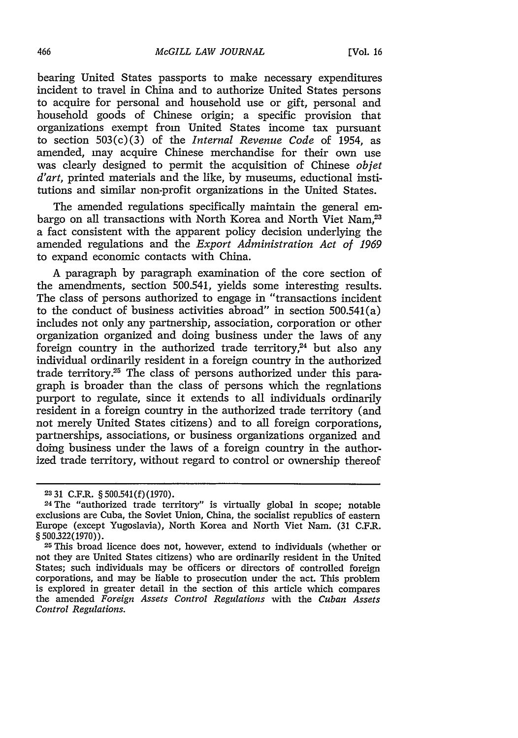bearing United States passports to make necessary expenditures incident to travel in China and to authorize United States persons to acquire for personal and household use or gift, personal and household goods of Chinese origin; a specific provision that organizations exempt from United States income tax pursuant to section **503(c)(3)** of the *Internal Revenue Code* of 1954, as amended, may acquire Chinese merchandise for their own use was clearly designed to permit the acquisition of Chinese *objet d'art,* printed materials and the like, **by** museums, eductional institutions and similar non-profit organizations in the United States.

The amended regulations specifically maintain the general embargo on all transactions with North Korea and North Viet Nam.<sup>23</sup> a fact consistent with the apparent policy decision underlying the amended regulations and the *Export Administration Act of 1969* to expand economic contacts with China.

**A** paragraph **by** paragraph examination of the core section of the amendments, section 500.541, yields some interesting results. The class of persons authorized to engage in "transactions incident to the conduct of business activities abroad" in section 500.541(a) includes not only any partnership, association, corporation or other organization organized and doing business under the laws of any foreign country in the authorized trade territory, $24$  but also any individual ordinarily resident in a foreign country in the authorized trade territory.25 The class of persons authorized under this paragraph is broader than the class of persons which the regnlations purport to regulate, since it extends to all individuals ordinarily resident in a foreign country in the authorized trade territory (and not merely United States citizens) and to all foreign corporations, partnerships, associations, or business organizations organized and doing business under the laws of a foreign country in the authorized trade territory, without regard to control or ownership thereof

**<sup>2331</sup>** C.F.R. **§ 500.541(f)(1970).**

<sup>24</sup> The "authorized trade territory" is virtually global in scope; notable exclusions are Cuba, the Soviet Union, China, the socialist republics of eastern Europe (except Yugoslavia), North Korea and North Viet Nam. **(31** C.F.R. **§ 500.322(1970)).**

**<sup>25</sup>**This broad licence does not, however, extend to individuals (whether or not they are United States citizens) who are ordinarily resident in the United States; such individuals may be officers or directors of controlled foreign corporations, and may be liable to prosecution under the act. This problem is explored in greater detail in the section of this article which compares the amended *Foreign Assets Control Regulations* with the *Cuban Assets Control Regulations.*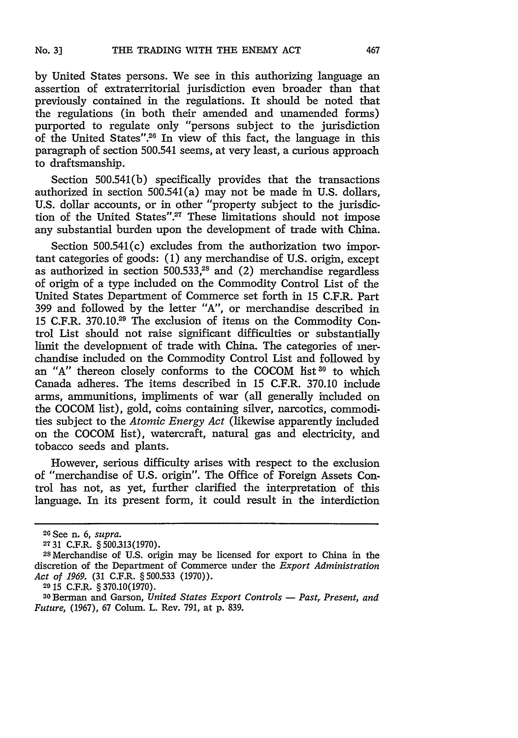by United States persons. We see in this authorizing language an assertion of extraterritorial jurisdiction even broader than that previously contained in the regulations. It should be noted that the regulations (in both their amended and unamended forms) purported to regulate only "persons subject to the jurisdiction of the United States".26 In view of this fact, the language in this paragraph of section 500.541 seems, at very least, a curious approach to draftsmanship.

Section 500.541(b) specifically provides that the transactions authorized in section 500.541(a) may not be made in U.S. dollars, U.S. dollar accounts, or in other "property subject to the jurisdiction of the United States".<sup>27</sup> These limitations should not impose any substantial burden upon the development of trade with China.

Section 500.541(c) excludes from the authorization two important categories of goods: (1) any merchandise of U.S. origin, except as authorized in section  $500.533<sub>1</sub><sup>28</sup>$  and (2) merchandise regardless of origin of a type included on the Commodity Control List of the United States Department of Commerce set forth in 15 C.F.R. Part 399 and followed by the letter "A", or merchandise described in 15 C.F.R. 370.10.29 The exclusion of items on the Commodity Control List should not raise significant difficulties or substantially limit the development of trade with China. The categories of merchandise included on the Commodity Control List and followed by an "A" thereon closely conforms to the COCOM list<sup>30</sup> to which Canada adheres. The items described in 15 C.F.R. 370.10 include arms, ammunitions, impliments of war (all generally included on the COCOM list), gold, coms containing silver, narcotics, commodities subject to the *Atomic Energy Act* (likewise apparently included on the COCOM list), watercraft, natural gas and electricity, and tobacco seeds and plants.

However, serious difficulty arises with respect to the exclusion of "merchandise of U.S. origin". The Office of Foreign Assets Control has not, as yet, further clarified the interpretation of this language. In its present form, it could result in the interdiction

**<sup>20</sup>**See n. 6, *supra.*

**<sup>2731</sup>**C.F.R. § 500.313(1970). **<sup>2</sup> <sup>8</sup>**Merchandise of U.S. origin may be licensed for export to China in the discretion of the Department of Commerce under the *Export Administration Act of 1969.* (31 C.F.R. § 500.533 (1970)).

**<sup>29</sup>** 15 C.F.R. § 370.10(1970).

<sup>&</sup>lt;sup>30</sup> Berman and Garson, *United States Export Controls - Past, Present, and Future,* (1967), 67 Colum. L. Rev. 791, at p. 839.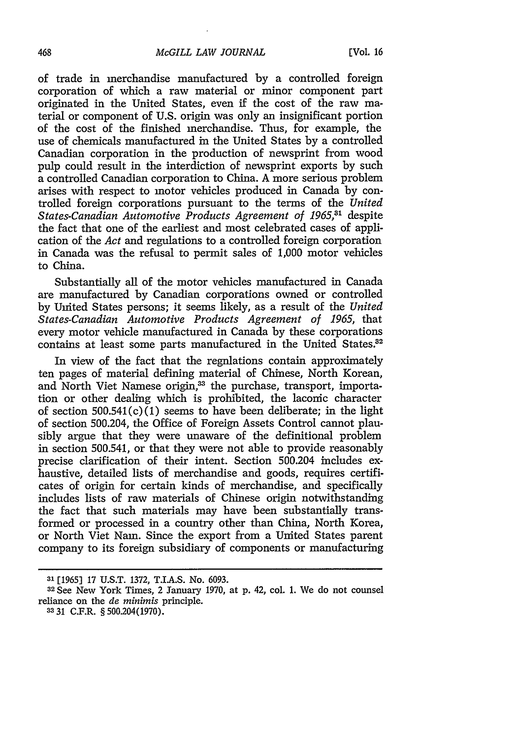of trade in merchandise manufactured by a controlled foreign corporation of which a raw material or minor component part originated in the United States, even if the cost of the raw material or component of U.S. origin was only an insignificant portion of the cost of the finished merchandise. Thus, for example, the use of chemicals manufactured in the United States by a controlled Canadian corporation in the production of newsprint from wood pulp could result in the interdiction of newsprint exports by such a controlled Canadian corporation to China. A more serious problem arises with respect to motor vehicles produced in Canada by controlled foreign corporations pursuant to the terms of the *United States-Canadian Automotive Products Agreement of 1965,81* despite the fact that one of the earliest and most celebrated cases of application of the *Act* and regulations to a controlled foreign corporation in Canada was the refusal to permit sales of 1,000 motor vehicles to China.

Substantially all of the motor vehicles manufactured in Canada are manufactured by Canadian corporations owned or controlled by United States persons; it seems likely, as a result of the *United States-Canadian Automotive Products Agreement of 1965,* that every motor vehicle manufactured in Canada by these corporations contains at least some parts manufactured in the United States.<sup>32</sup>

In view of the fact that the regnlations contain approximately ten pages of material defining material of Chinese, North Korean, and North Viet Namese origin,<sup>33</sup> the purchase, transport, importation or other dealing which is prohibited, the laconic character of section  $500.541(c)(1)$  seems to have been deliberate; in the light of section 500.204, the Office of Foreign Assets Control cannot plausibly argue that they were unaware of the definitional problem in section 500.541, or that they were not able to provide reasonably precise clarification of their intent. Section 500.204 includes exhaustive, detailed lists of merchandise and goods, requires certificates of origin for certain kinds of merchandise, and specifically includes lists of raw materials of Chinese origin notwithstanding the fact that such materials may have been substantially transformed or processed in a country other than China, North Korea, or North Viet Nam. Since the export from a United States parent company to its foreign subsidiary of components or manufacturing

**<sup>31</sup>**[1965] **17** U.S.T. 1372, T.IA.S. No. 6093.

**<sup>32</sup>**See New York Times, 2 January 1970, at p. 42, col. 1. We do not counsel reliance on the *de minimis* principle. **<sup>3331</sup>**C.F.R. §500.204(1970).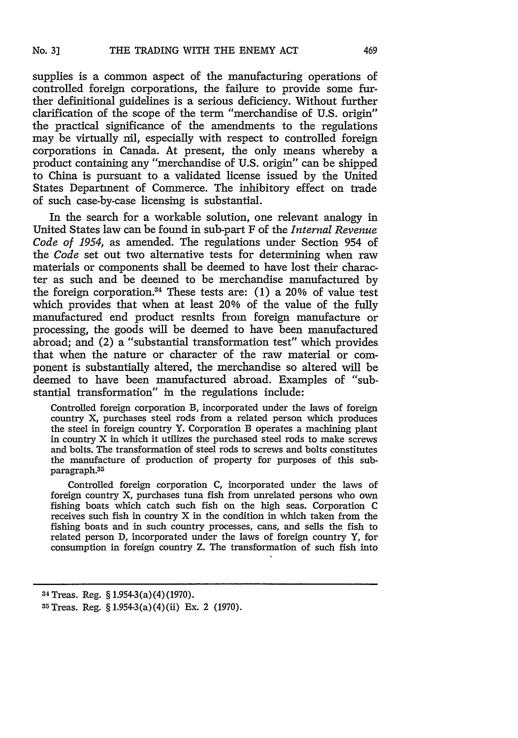supplies is a common aspect of the manufacturing operations of controlled foreign corporations, the failure to provide some further definitional guidelines is a serious deficiency. Without further clarification of the scope of the term "merchandise of U.S. origin" the practical significance of the amendments to the regulations may be virtually nil, especially with respect to controlled foreign corporations in Canada. At present, the only means whereby a product containing any "merchandise of U.S. origin" can be shipped to China is pursuant to a validated license issued by the United States Department of Commerce. The inhibitory effect on trade of such case-by-case licensing is substantial.

In the search for a workable solution, one relevant analogy in United States law can be found in sub-part F of the *Internal Revenue Code of 1954,* as amended. The regulations under Section 954 of the *Code* set out two alternative tests for determining when raw materials or components shall be deemed to have lost their character as such and be deemed to be merchandise manufactured by the foreign corporation.<sup>34</sup> These tests are: (1) a 20% of value test which provides that when at least 20% of the value of the fully manufactured end product resnlts from foreign manufacture or processing, the goods will be deemed to have been manufactured abroad; and (2) a "substantial transformation test" which provides that when the nature or character of the raw material or component is substantially altered, the merchandise so altered will be deemed to have been manufactured abroad. Examples of "substantial transformation" in the regulations include:

Controlled foreign corporation B, incorporated under the laws of foreign country X, purchases steel rods from a related person which produces the steel in foreign country Y. Corporation B operates a machining plant in country X in which it utilizes the purchased steel rods to make screws and bolts. The transformation of steel rods to screws and bolts constitutes the manufacture of production of property for purposes of this subparagraph.<sup>35</sup>

Controlled foreign corporation C, incorporated under the laws of foreign country X, purchases tuna fish from unrelated persons who own fishing boats which catch such fish on the high seas. Corporation C receives such fish in country X in the condition in which taken from the fishing boats and in such country processes, cans, and sells the fish to related person D, incorporated under the laws of foreign country Y, for consumption in foreign country Z. The transformation of such fish into

<sup>34</sup>Treas. Reg. § 1.954-3(a) (4) (1970).

<sup>35</sup>Treas. Reg. § 1.954-3(a)(4)(ii) Ex. 2 (1970).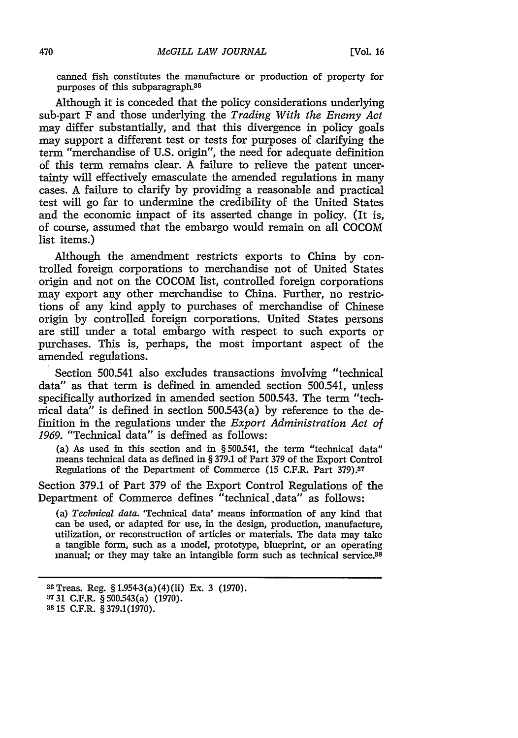canned fish constitutes the manufacture or production of property for purposes of this subparagraph.<sup>36</sup>

Although it is conceded that the policy considerations underlying sub-part F and those underlying the *Trading With the Enemy Act* may differ substantially, and that this divergence in policy goals may support a different test or tests for purposes of clarifying the term "merchandise of U.S. origin", the need for adequate definition of this term remains clear. A failure to relieve the patent uncertainty will effectively emasculate the amended regulations in many cases. A failure to clarify by providing a reasonable and practical test will go far to undermine the credibility of the United States and the economic impact of its asserted change in policy. (It is, of course, assumed that the embargo would remain on all COCOM list items.)

Although the amendment restricts exports to China by controlled foreign corporations to merchandise not of United States origin and not on the COCOM list, controlled foreign corporations may export any other merchandise to China. Further, no restrictions of any kind apply to purchases of merchandise of Chinese origin by controlled foreign corporations. United States persons are still under a total embargo with respect to such exports or purchases. This is, perhaps, the most important aspect of the amended regulations.

Section 500.541 also excludes transactions involving "technical data" as that term is defined in amended section 500.541, unless specifically authorized in amended section 500.543. The term "technical data" is defined in section 500.543(a) by reference to the definition in the regulations under the *Export Administration Act of 1969.* "Technical data" is defined as follows:

(a) As used in this section and in § 500.541, the term "technical data" means technical data as defined in § 379.1 of Part 379 of the Export Control Regulations of the Department of Commerce (15 C.F.R. Part **379).37**

Section 379.1 of Part 379 of the Export Control Regulations of the Department of Commerce defines "technical.data" as follows:

(a) *Technical data.* 'Technical data' means information of any kind that can be used, or adapted for use, in the design, production, manufacture, utilization, or reconstruction of articles or materials. The data may take a tangible form, such as a model, prototype, blueprint, or an operating manual; or they may take an intangible form such as technical service. $38$ 

<sup>36</sup>Treas. Reg. § 1.954-3(a)(4)(ii) Ex. 3 (1970).

**<sup>3731</sup>** C.F.R. § 500.543(a) (1970).

**<sup>3815</sup>** C.F.R. §379.1(1970).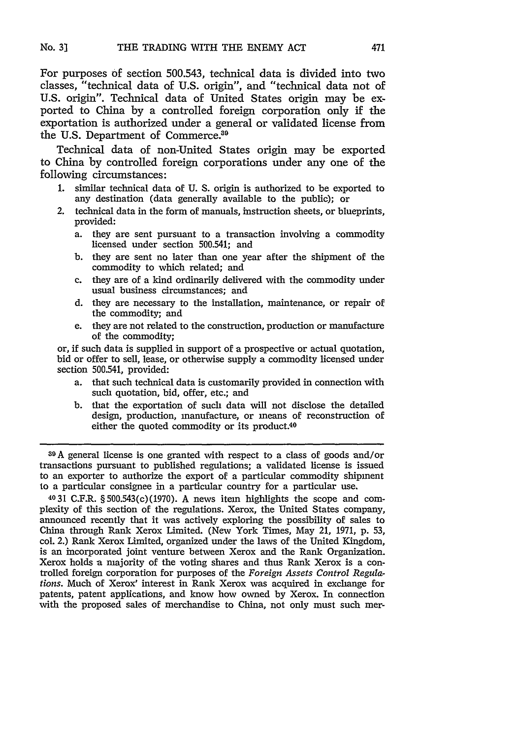For purposes **of** section **500.543,** technical data is divided into two classes, "technical data of U.S. origin", and "technical data not of U.S. origin". Technical data of United States origin may be exported to China by a controlled foreign corporation only if the exportation is authorized under a general or validated license from the U.S. Department of Commerce.<sup>39</sup>

Technical data of non-United States origin may be exported to China by controlled foreign corporations under any one of the following circumstances:

- 1. similar technical data of U. S. origin is authorized to be exported to any destination (data generally available to the public); or
- 2. technical data in the form of manuals, instruction sheets, or blueprints, provided:
	- a. they are sent pursuant to a transaction involving a commodity licensed under section 500.541; and
	- b. they are sent no later than one year after the shipment of the commodity to which related; and
	- c. they are of a kind ordinarily delivered with the commodity under usual business circumstances; and
	- d. they are necessary to the installation, maintenance, or repair of the commodity; and
	- e. they are not related to the construction, production or manufacture of the commodity;

or, if such data is supplied in support of a prospective or actual quotation, bid or offer to sell, lease, or otherwise supply a commodity licensed under section 500.541, provided:

- a. that such technical data is customarily provided in connection with such quotation, bid, offer, etc.; and
- b. that the exportation of such data will not disclose the detailed design, production, manufacture, or means of reconstruction of either the quoted commodity or its product.<sup>40</sup>

**39A** general license is one granted with respect to a class of goods and/or transactions pursuant to published regulations; a validated license is issued to an exporter to authorize the export of a particular commodity shipment to a particular consignee in a particular country for a particular use.

4031 C.F.R. §500.543(c)(1970). A news item highlights the scope and complexity of this section of the regulations. Xerox, the United States company, announced recently that it was actively exploring the possibility of sales to China through Rank Xerox Limited. (New York Times, May 21, 1971, p. 53, col. 2.) Rank Xerox Limited, organized under the laws of the United Kingdom, is an incorporated joint venture between Xerox and the Rank Organization. Xerox holds a majority of the voting shares and thus Rank Xerox is a controlled foreign corporation for purposes of the *Foreign Assets Control Regulations.* Much of Xerox' interest in Rank Xerox was acquired in exchange for patents, patent applications, and know how owned by Xerox. In connection with the proposed sales of merchandise to China, not only must such mer-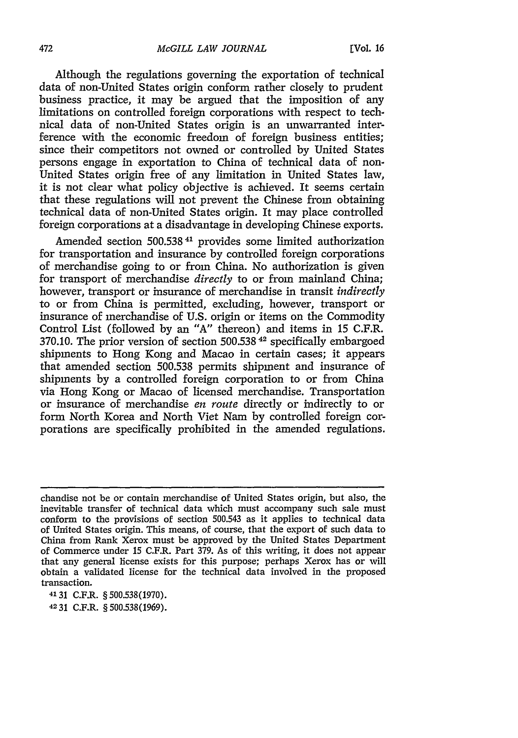Although the regulations governing the exportation of technical data of non-United States origin conform rather closely to prudent business practice, it may be argued that the imposition of any limitations on controlled foreign corporations with respect to technical data of non-United States origin is an unwarranted interference with the economic freedom of foreign business entities; since their competitors not owned or controlled by United States persons engage in exportation to China of technical data of non-United States origin free of any limitation in United States law, it is not clear what policy objective is achieved. It seems certain that these regulations will not prevent the Chinese from obtaining technical data of non-United States origin. It may place controlled foreign corporations at a disadvantage in developing Chinese exports.

Amended section 500.538<sup>41</sup> provides some limited authorization for transportation and insurance by controlled foreign corporations of merchandise going to or from China. No authorization is given for transport of merchandise *directly* to or from mainland China; however, transport or insurance of merchandise in transit *indirectly* to or from China is permitted, excluding, however, transport or insurance of merchandise of U.S. origin or items on the Commodity Control List (followed by an "A" thereon) and items in 15 C.F.R. 370.10. The prior version of section 500.538 42 specifically embargoed shipments to Hong Kong and Macao in certain cases; it appears that amended section 500.538 permits shipment and insurance of shipments by a controlled foreign corporation to or from China via Hong Kong or Macao of licensed merchandise. Transportation or insurance of merchandise *en route* directly or indirectly to or form North Korea and North Viet Nam by controlled foreign corporations are specifically prohibited in the amended regulations.

**41** 31 C.F.R. § 500.538(1970).

4231 C.F.R. §500.538(1969).

chandise not be or contain merchandise of United States origin, but also, the inevitable transfer of technical data which must accompany such sale must conform to the provisions of section 500.543 as it applies to technical data of United States origin. This means, of course, that the export of such data to China from Rank Xerox must be approved by the United States Department of Commerce under **15** C.F.R. Part 379. As of this writing, it does not appear that any general license exists for this purpose; perhaps Xerox has or will obtain a validated license for the technical data involved in the proposed transaction.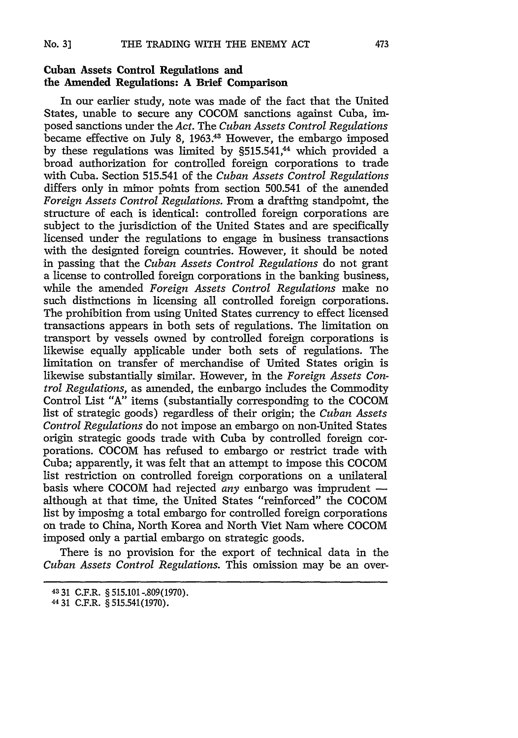## **Cuban Assets Control Regulations and the Amended Regulations: A Brief Comparison**

In our earlier study, note was made of the fact that the United States, unable to secure any COCOM sanctions against Cuba, imposed sanctions under the *Act.* The *Cuban Assets Control Regulations* became effective on July 8, 1963.<sup>43</sup> However, the embargo imposed by these regulations was limited by §515.541,<sup>44</sup> which provided a broad authorization for controlled foreign corporations to trade with Cuba. Section 515.541 of the *Cuban Assets Control Regulations* differs only in minor points from section 500.541 of the amended *Foreign Assets Control Regulations.* From a drafting standpoint, the structure of each is identical: controlled foreign corporations are subject to the jurisdiction of the United States and are specifically licensed under the regulations to engage in business transactions with the designted foreign countries. However, it should be noted in passing that the *Cuban Assets Control Regulations* do not grant a license to controlled foreign corporations in the banking business, while the amended *Foreign Assets Control Regulations* make no such distinctions in licensing all controlled foreign corporations. The prohibition from using United States currency to effect licensed transactions appears in both sets of regulations. The limitation on transport by vessels owned by controlled foreign corporations is likewise equally applicable under both sets of regulations. The limitation on transfer of merchandise of United States origin is likewise substantially similar. However, in the *Foreign Assets Control Regulations,* as amended, the embargo includes the Commodity Control List "A" items (substantially corresponding to the COCOM list of strategic goods) regardless of their origin; the *Cuban Assets Control Regulations* do not impose an embargo on non-United States origin strategic goods trade with Cuba by controlled foreign corporations. COCOM has refused to embargo or restrict trade with Cuba; apparently, it was felt that an attempt to impose this COCOM list restriction on controlled foreign corporations on a unilateral basis where COCOM had rejected *any* embargo was imprudent  although at that time, the United States "reinforced" the COCOM list by imposing a total embargo for controlled foreign corporations on trade to China, North Korea and North Viet Nam where COCOM imposed only a partial embargo on strategic goods.

There is no provision for the export of technical data in the *Cuban Assets Control Regulations.* This omission may be an over-

**<sup>4331</sup>**C.F.R. § 515.101-.809(1970). *<sup>44</sup>*31 C.F.R. **§ 515.541(1970).**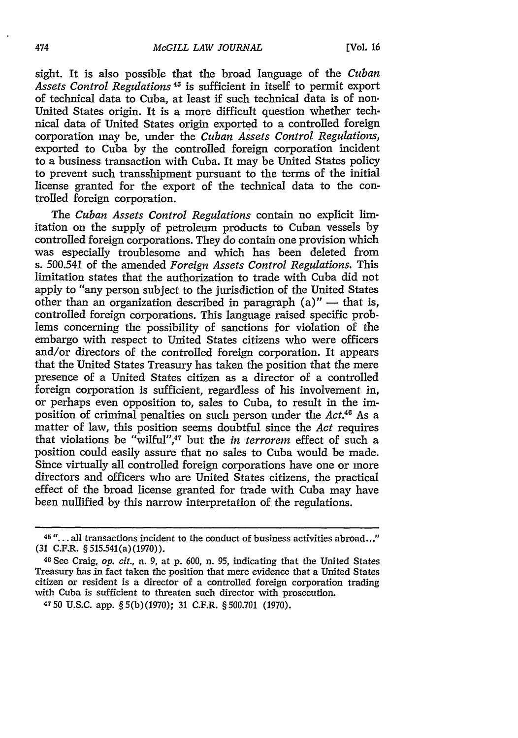sight. It is also possible that the broad language of the *Cuban Assets Control Regulations 45* is sufficient in itself to permit export of technical data to Cuba, at least if such technical data is of non. United States origin. It is a more difficult question whether technical data of United States origin exported to a controlled foreign corporation may be, under the *Cuban Assets Control Regulations,* exported to Cuba by the controlled foreign corporation incident to a business transaction with Cuba. It may be United States policy to prevent such transshipment pursuant to the terms of the initial license granted for the export of the technical data to the controlled foreign corporation.

The *Cuban Assets Control Regulations* contain no explicit limitation on the supply of petroleum products to Cuban vessels by controlled foreign corporations. They do contain one provision which was especially troublesome and which has been deleted from s. 500.541 of the amended *Foreign Assets Control Regulations.* This limitation states that the authorization to trade with Cuba did not apply to "any person subject to the jurisdiction of the United States other than an organization described in paragraph  $(a)'' -$  that is, controlled foreign corporations. This language raised specific problems concerning the possibility of sanctions for violation of the embargo with respect to United States citizens who were officers and/or directors of the controlled foreign corporation. It appears that the United States Treasury has taken the position that the mere presence of a United States citizen as a director of a controlled foreign corporation is sufficient, regardless of his involvement in, or perhaps even opposition to, sales to Cuba, to result in the imposition of criminal penalties on such person under the *Act.46* As a matter of law, this position seems doubtful since the *Act* requires that violations be "wilful",47 but the *in terrorem* effect of such a position could easily assure that no sales to Cuba would be made. Since virtually all controlled foreign corporations have one or more directors and officers who are United States citizens, the practical effect of the broad license granted for trade with Cuba may have been nullified by this narrow interpretation of the regulations.

**<sup>45</sup>...** all transactions incident to the conduct of business activities abroad..." (31 C.F.R. §515.541(a)(1970)).

<sup>46</sup>See Craig, *op. cit.,* n. 9, at p. 600, n. 95, indicating that the United States Treasury has in fact taken the position that mere evidence that a United States citizen or resident is a director of a controlled foreign corporation trading with Cuba is sufficient to threaten such director with prosecution.

<sup>4750</sup> U.S.C. app. §5(b)(1970); **31** C.F.R. §500.701 (1970).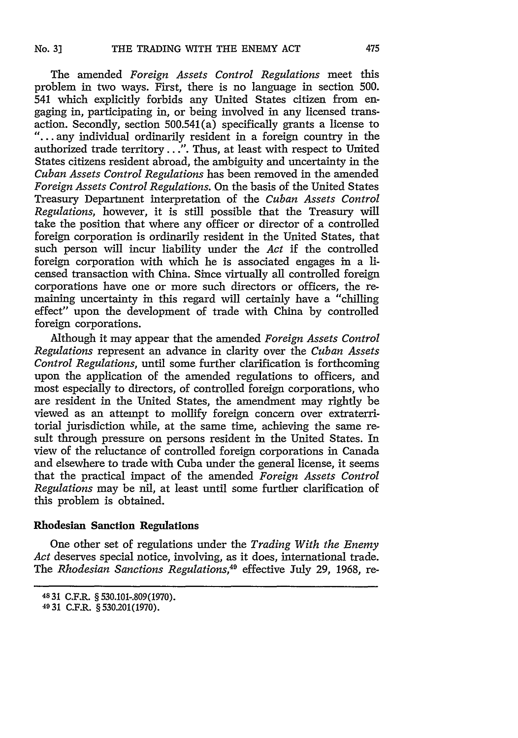The amended *Foreign Assets Control Regulations* meet this problem in two ways. First, there is no language in section 500. 541 which explicitly forbids any United States citizen from engaging in, participating in, or being involved in any licensed transaction. Secondly, section 500.541(a) specifically grants a license to "... any individual ordinarily resident in a foreign country in the authorized trade territory.. .". Thus, at least with respect to United States citizens resident abroad, the ambiguity and uncertainty in the *Cuban Assets Control Regulations* has been removed in the amended *Foreign Assets Control Regulations.* On the basis of the United States Treasury Department interpretation of the *Cuban Assets Control Regulations,* however, it is still possible that the Treasury will take the position that where any officer or director of a controlled foreign corporation is ordinarily resident in the United States, that such person will incur liability under the *Act* if the controlled foreign corporation with which he is associated engages in a licensed transaction with China. Since virtually all controlled foreign corporations have one or more such directors or officers, the remaining uncertainty in this regard will certainly have a "chilling effect" upon the development of trade with China by controlled foreign corporations.

Although it may appear that the amended *Foreign Assets Control Regulations* represent an advance in clarity over the *Cuban Assets Control Regulations,* until some further clarification is forthcoming upon the application of the amended regulations to officers, and most especially to directors, of controlled foreign corporations, who are resident in the United States, the amendment may rightly be viewed as an attempt to mollify foreign concern over extraterritorial jurisdiction while, at the same time, achieving the same result through pressure on persons resident in the United States. In view of the reluctance of controlled foreign corporations in Canada and elsewhere to trade with Cuba under the general license, it seems that the practical impact of the amended *Foreign Assets Control Regulations* may be nil, at least until some further clarification of this problem is obtained.

### Rhodesian **Sanction Regulations**

One other set of regulations under the *Trading With the Enemy Act* deserves special notice, involving, as it does, international trade. The *Rhodesian Sanctions Regulations,49* effective July 29, 1968, re-

<sup>4831</sup> C.F.R. §530.101-.809(1970).

<sup>4931</sup> C.F.R. § 530.201(1970).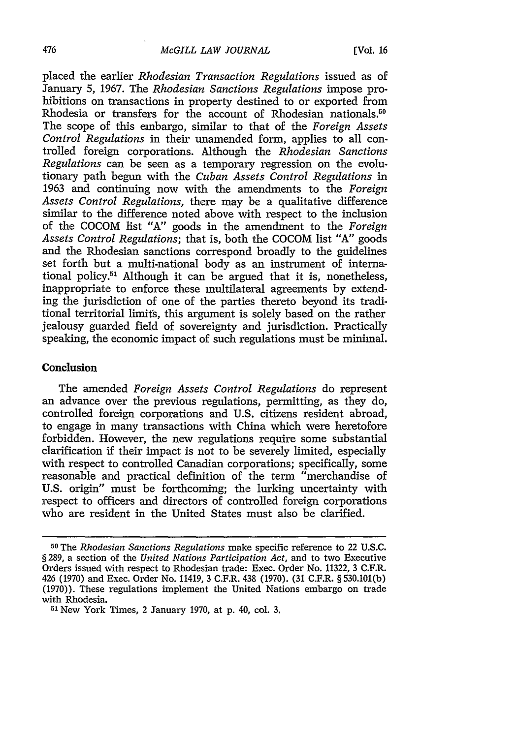#### *McGILL LAW JOURNAL*

placed the earlier *Rhodesian Transaction Regulations* issued as of January 5, 1967. The *Rhodesian Sanctions Regulations* impose prohibitions on transactions in property destined to or exported from Rhodesia or transfers for the account of Rhodesian nationals.<sup>50</sup> The scope of this embargo, similar to that of the *Foreign Assets Control Regulations* in their unamended form, applies to all controlled foreign corporations. Although the *Rhodesian Sanctions Regulations* can be seen as a temporary regression on the evolutionary path begun with the *Cuban Assets Control Regulations* in 1963 and continuing now with the amendments to the *Foreign Assets Control Regulations,* there may be a qualitative difference similar to the difference noted above with respect to the inclusion of the COCOM list "A" goods in the amendment to the *Foreign Assets Control Regulations;* that is, both the COCOM list "A" goods and the Rhodesian sanctions correspond broadly to the guidelines set forth but a multi-national body as an instrument of international policy.51 Although it can be argued that it is, nonetheless, inappropriate to enforce these multilateral agreements by extending the jurisdiction of one of the parties thereto beyond its traditional territorial limits, this argument is solely based on the rather jealousy guarded field of sovereignty and jurisdiction. Practically speaking, the economic impact of such regulations must be minimal.

### Conclusion

The amended *Foreign Assets Control Regulations* do represent an advance over the previous regulations, permitting, as they do, controlled foreign corporations and U.S. citizens resident abroad, to engage in many transactions with China which were heretofore forbidden. However, the new regulations require some substantial clarification if their impact is not to be severely limited, especially with respect to controlled Canadian corporations; specifically, some reasonable and practical definition of the term "merchandise of U.S. origin" must be forthcoming; the lurking uncertainty with respect to officers and directors of controlled foreign corporations who are resident in the United States must also be clarified.

**<sup>50</sup>**The *Rhodesian Sanctions Regulations* make specific reference to 22 U.S.C. § 289, a section of the *United Nations Participation Act,* and to two Executive Orders issued with respect to Rhodesian trade: Exec. Order No. 11322, 3 C.F.R. 426 (1970) and Exec. Order No. 11419, 3 C.F.R. 438 (1970). (31 C.F.R. § 530.101(b) (1970)). These regulations implement the United Nations embargo on trade with Rhodesia.

<sup>51</sup> New York Times, 2 January 1970, at p. 40, col. 3.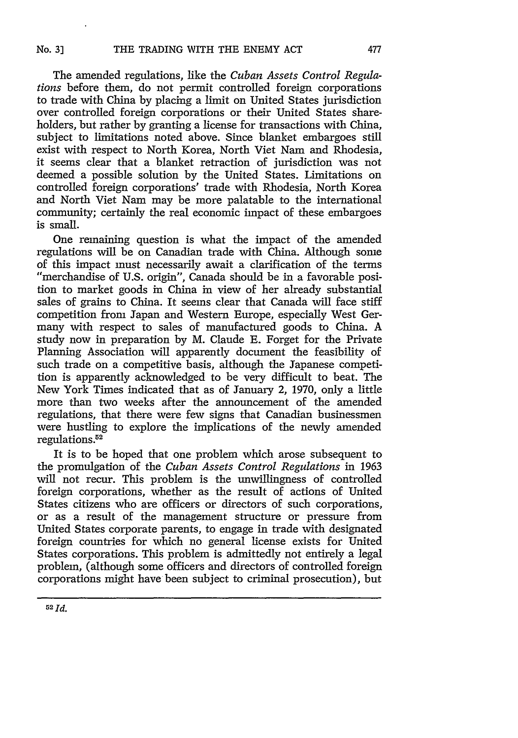The amended regulations, like the *Cuban Assets Control Regulations* before them, do not permit controlled foreign corporations to trade with China by placing a limit on United States jurisdiction over controlled foreign corporations or their United States shareholders, but rather by granting a license for transactions with China, subject to limitations noted above. Since blanket embargoes still exist with respect to North Korea, North Viet Nam and Rhodesia, it seems clear that a blanket retraction of jurisdiction was not deemed a possible solution by the United States. Limitations on controlled foreign corporations' trade with Rhodesia, North Korea and North Viet Nam may be more palatable to the international community; certainly the real economic impact of these embargoes is small.

One remaining question is what the impact of the amended regulations will be on Canadian trade with China. Although some "merchandise of U.S. origin", Canada should be in a favorable position to market goods in China in view of her already substantial sales of grains to China. It seems clear that Canada will face stiff competition from Japan and Western Europe, especially West Germany with respect to sales of manufactured goods to China. A study now in preparation by M. Claude E. Forget for the Private Planning Association will apparently document the feasibility of such trade on a competitive basis, although the Japanese competition is apparently acknowledged to be very difficult to beat. The New York Times indicated that as of January 2, 1970, only a little more than two weeks after the announcement of the amended regulations, that there were few signs that Canadian businessmen were hustling to explore the implications of the newly amended regulations **. <sup>2</sup>**

It is to be hoped that one problem which arose subsequent to the promulgation of the *Cuban Assets Control Regulations* in 1963 will not recur. This problem is the unwillingness of controlled foreign corporations, whether as the result of actions of United States citizens who are officers or directors of such corporations, or as a result of the management structure or pressure from United States corporate parents, to engage in trade with designated foreign countries for which no general license exists for United States corporations. This problem is admittedly not entirely a legal problem, (although some officers and directors of controlled foreign corporations might have been subject to criminal prosecution), but

477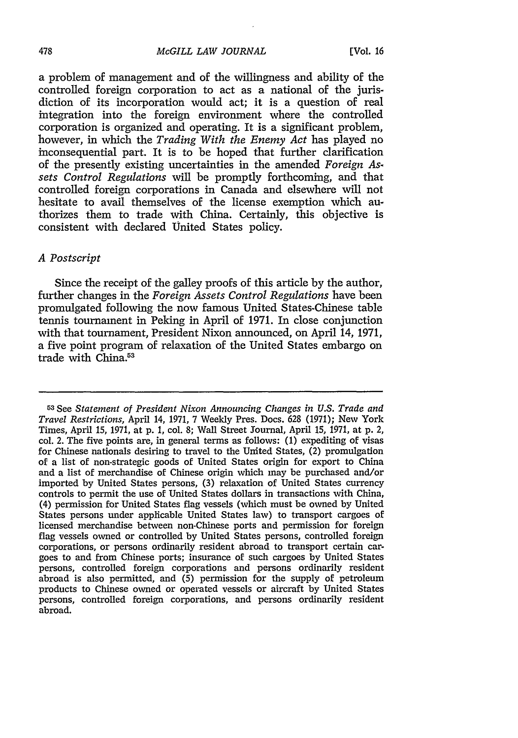#### *McGILL LAW JOURNAL*

a problem of management and of the willingness and ability of the controlled foreign corporation to act as a national of the jurisdiction of its incorporation would act; it is a question of real integration into the foreign environment where the controlled corporation is organized and operating. It is a significant problem, however, in which the *Trading With the Enemy Act* has played no inconsequential part. It is to be hoped that further clarification of the presently existing uncertainties in the amended *Foreign As. sets Control Regulations* will be promptly forthcoming, and that controlled foreign corporations in Canada and elsewhere will not hesitate to avail themselves of the license exemption which authorizes them to trade with China. Certainly, this objective is consistent with declared United States policy.

## *A Postscript*

Since the receipt of the galley proofs of this article by the author, further changes in the *Foreign Assets Control Regulations* have been promulgated following the now famous United States-Chinese table tennis tournament in Peking in April of 1971. In close conjunction with that tournament, President Nixon announced, on April 14, 1971, a five point program of relaxation of the United States embargo on trade with China.<sup>53</sup>

<sup>53</sup>See *Statement of President Nixon Announcing Changes in U.S. Trade and Travel Restrictions,* April 14, 1971, 7 Weekly Pres. Docs. 628 (1971); New York Times, April 15, 1971, at p. 1, col. 8; Wall Street Journal, April 15, 1971, at p. 2, col. 2. The five points are, in general terms as follows: (1) expediting of visas for Chinese nationals desiring to travel to the United States, (2) promulgation of a list of non-strategic goods of United States origin for export to China and a list of merchandise of Chinese origin which may be purchased and/or imported by United States persons, (3) relaxation of United States currency controls to permit the use of United States dollars in transactions with China, (4) permission for United States flag vessels (which must be owned by United States persons under applicable United States law) to transport cargoes of licensed merchandise between non-Chinese ports and permission for foreign flag vessels owned or controlled by United States persons, controlled foreign corporations, or persons ordinarily resident abroad to transport certain cargoes to and from Chinese ports; insurance of such cargoes by United States persons, controlled foreign corporations and persons ordinarily resident abroad is also permitted, and (5) permission for the supply of petroleum products to Chinese owned or operated vessels or aircraft by United States persons, controlled foreign corporations, and persons ordinarily resident abroad.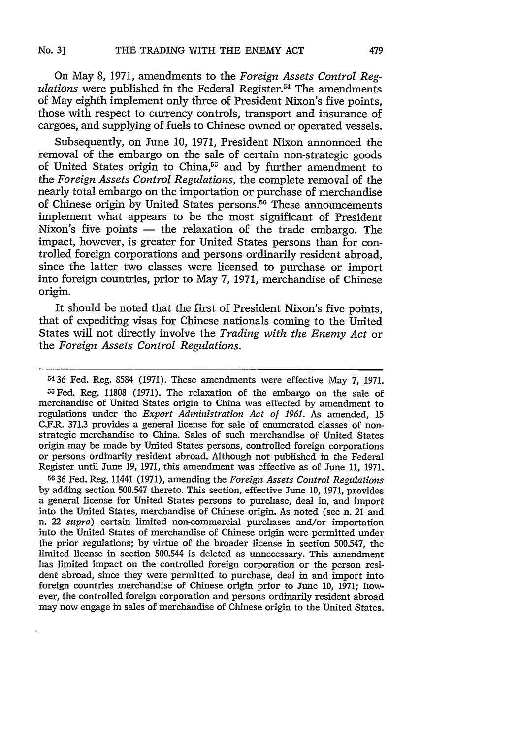On May 8, 1971, amendments to the *Foreign Assets Control Regulations* were published in the Federal Register.<sup>54</sup> The amendments of May eighth implement only three of President Nixon's five points, those with respect to currency controls, transport and insurance of cargoes, and supplying of fuels to Chinese owned or operated vessels.

Subsequently, on June 10, 1971, President Nixon announced the removal of the embargo on the sale of certain non-strategic goods of United States origin to China,<sup>55</sup> and by further amendment to the *Foreign Assets Control Regulations,* the complete removal of the nearly total embargo on the importation or purchase of merchandise of Chinese origin by United States persons.<sup>56</sup> These announcements implement what appears to be the most significant of President Nixon's five points  $-$  the relaxation of the trade embargo. The impact, however, is greater for United States persons than for controlled foreign corporations and persons ordinarily resident abroad, since the latter two classes were licensed to purchase or import into foreign countries, prior to May 7, 1971, merchandise of Chinese origin.

It should be noted that the first of President Nixon's five points, that of expediting visas for Chinese nationals coming to the United States will not directly involve the *Trading with the Enemy Act* or the *Foreign Assets Control Regulations.*

5436 Fed. Reg. 8584 (1971). These amendments were effective May 7, 1971. 55 Fed. Reg. 11808 (1971). The relaxation of the embargo on the sale of merchandise of United States origin to China was effected by amendment to regulations under the *Export Administration Act of 1961.* As amended, 15 C.F.R. **371.3** provides a general license for sale of enumerated classes of nonstrategic merchandise to China. Sales of such merchandise of United States origin may be made by United States persons, controlled foreign corporations or persons ordinarily resident abroad. Although not published in the Federal Register until June 19, 1971, this amendment was effective as of June 11, 1971.

**50 36** Fed. Reg. 11441 (1971), amending the *Foreign Assets Control Regulations* by adding section 500.547 thereto. This section, effective June 10, 1971, provides a general license for United States persons to purchase, deal in, and import into the United States, merchandise of Chinese origin. As noted (see n. 21 and n. 22 *supra)* certain limited non-commercial purchases and/or importation into the United States of merchandise of Chinese origin were permitted under the prior regulations; by virtue of the broader license in section 500.547, the limited license in section 500.544 is deleted as unnecessary. This amendment has limited impact on the controlled foreign corporation or the person resident abroad, since they were permitted to purchase, deal in and import into foreign countries merchandise of Chinese origin prior to June 10, 1971; however, the controlled foreign corporation and persons ordinarily resident abroad may now engage in sales of merchandise of Chinese origin to the United States.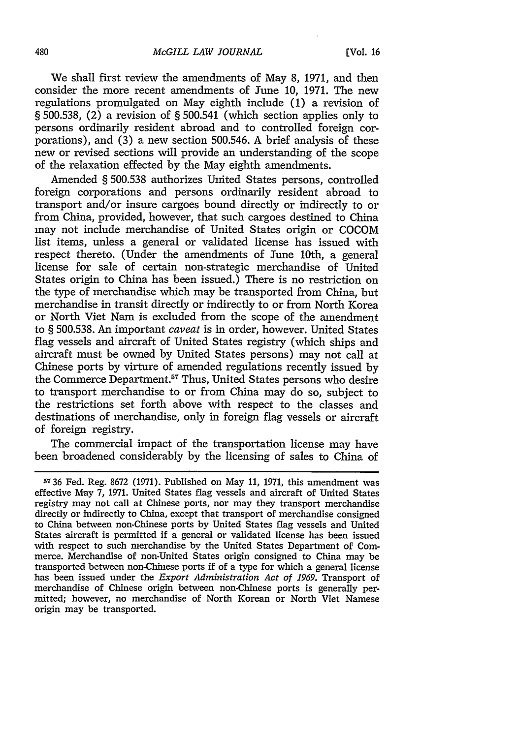We shall first review the amendments of May **8, 1971,** and then consider the more recent amendments of June **10, 1971.** The new regulations promulgated on May eighth include **(1)** a revision of **§ 500.538,** (2) a revision of **§** 500.541 (which section applies only to persons ordinarily resident abroad and to controlled foreign corporations), and **(3)** a new section **500.546. A** brief analysis of these new or revised sections will provide an understanding of the scope of the relaxation effected **by** the May eighth amendments.

Amended **§ 500.538** authorizes United States persons, controlled foreign corporations and persons ordinarily resident abroad to transport and/or insure cargoes bound directly or indirectly to or from China, provided, however, that such cargoes destined to China may not include merchandise of United States origin or **COCOM** list items, unless a general or validated license has issued with respect thereto. (Under the amendments of June 10th, a general license for sale of certain non-strategic merchandise of United States origin to China has been issued.) There is no restriction on the type of merchandise which may be transported from China, but merchandise in transit directly or indirectly to or from North Korea or North Viet Nam is excluded from the scope of the amendment to **§ 500.538.** An important *caveat* is in order, however. United States flag vessels and aircraft of United States registry (which ships and aircraft must be owned **by** United States persons) may not call at Chinese ports **by** virture of amended regulations recently issued **by** the Commerce Department.<sup>57</sup> Thus, United States persons who desire to transport merchandise to or from China may do so, subject to the restrictions set forth above with respect to the classes and destinations of merchandise, only in foreign flag vessels or aircraft of foreign registry.

The commercial impact of the transportation license may have been broadened considerably **by** the licensing of sales to China of

**<sup>5736</sup>** Fed. Reg. **8672 (1971).** Published on May **11, 1971,** this amendment was effective May **7, 1971.** United States flag vessels and aircraft of United States registry may not call at Chinese ports, nor may they transport merchandise directly or indirectly to China, except that transport of merchandise consigned to China between non-Chinese ports **by** United States flag vessels and United States aircraft is permitted if a general or validated license has been issued with respect to such merchandise **by** the United States Department of Commerce. Merchandise of non-United States origin consigned to China may be transported between non-Chinese ports if of a type for which a general license has been issued under the *Export Administration Act of 1969.* Transport of merchandise of Chinese origin between non-Chinese ports is generally permitted; however, no merchandise of North Korean or North Viet Namese origin may be transported.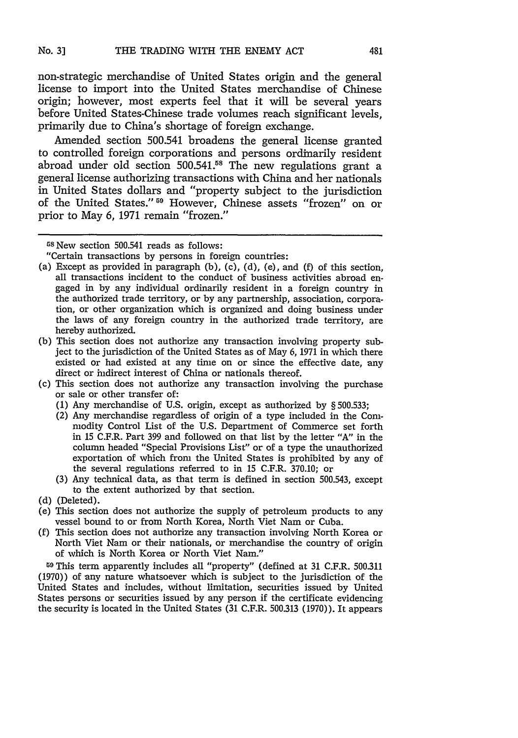non-strategic merchandise of United States origin and the general license to import into the United States merchandise of Chinese origin; however, most experts feel that it will be several years before United States-Chinese trade volumes reach significant levels, primarily due to China's shortage of foreign exchange.

Amended section 500.541 broadens the general license granted to controlled foreign corporations and persons ordinarily resident abroad under old section 500.541.58 The new regulations grant a general license authorizing transactions with China and her nationals in United States dollars and "property subject to the jurisdiction of the United States." <sup>59</sup> However, Chinese assets "frozen" on or prior to May 6, 1971 remain "frozen."

- (a) Except as provided in paragraph (b), (c), (d), (e), and (f) of this section, all transactions incident to the conduct of business activities abroad engaged in by any individual ordinarily resident in a foreign country in the authorized trade territory, or by any partnership, association, corporation, or other organization which is organized and doing business under the laws of any foreign country in the authorized trade territory, are hereby authorized.
- (b) This section does not authorize any transaction involving property subject to the jurisdiction of the United States as of May 6, 1971 in which there existed or had existed at any time on or since the effective date, any direct or indirect interest of China or nationals thereof.
- (c) This section does not authorize any transaction involving the purchase or sale or other transfer of:
	- (1) Any merchandise of U.S. origin, except as authorized by § 500.533;
	- (2) Any merchandise regardless of origin of a type included in the Commodity Control List of the U.S. Department of Commerce set forth in 15 C.F.R. Part 399 and followed on that list by the letter "A" in the column headed "Special Provisions List" or of a type the unauthorized exportation of which from the United States is prohibited by any of the several regulations referred to in 15 C.F.R. 370.10; or
	- (3) Any technical data, as that term is defined in section 500.543, except to the extent authorized by that section.
- (d) (Deleted).
- (e) This section does not authorize the supply of petroleum products to any vessel bound to or from North Korea, North Viet Nam or Cuba.
- (f) This section does not authorize any transaction involving North Korea or North Viet Nam or their nationals, or merchandise the country of origin of which is North Korea or North Viet Nam."

<sup>59</sup>This term apparently includes all "property" (defined at 31 C.F.R. 500.311 (1970)) of any nature whatsoever which is subject to the jurisdiction of the United States and includes, without limitation, securities issued by United States persons or securities issued by any person if the certificate evidencing the security is located in the United States (31 C.F.R. 500.313 (1970)). It appears

<sup>58</sup> New section 500.541 reads as follows:

<sup>&</sup>quot;Certain transactions by persons in foreign countries: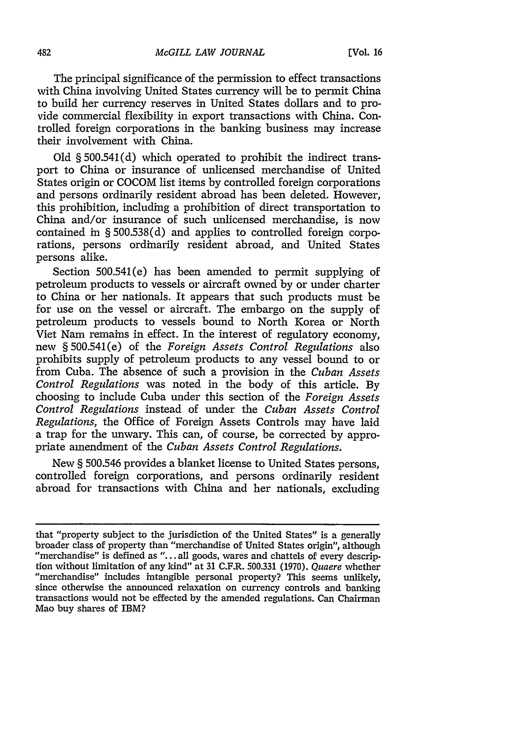The principal significance of the permission to effect transactions with China involving United States currency will be to permit China to build her currency reserves in United States dollars and to provide commercial flexibility in export transactions with China. Controlled foreign corporations in the banking business may increase their involvement with China.

**Old § 500.541(d)** which operated to prohibit the indirect transport to China or insurance of unlicensed merchandise of United States origin or **COCOM** list items **by** controlled foreign corporations and persons ordinarily resident abroad has been deleted. However, this prohibition, including a prohibition of direct transportation to China and/or insurance of such unlicensed merchandise, is now contained in **§ 500.538(d)** and applies to controlled foreign corporations, persons ordinarily resident abroad, and United States persons alike.

Section 500.541(e) has been amended to permit supplying of petroleum products to vessels or aircraft owned **by** or under charter to China or her nationals. It appears that such products must be for use on the vessel or aircraft. The embargo on the supply of petroleum products to vessels bound to North Korea or North Viet Nam remains in effect. In the interest of regulatory economy, new **§** 500.541(e) of the *Foreign Assets Control Regulations* also prohibits supply of petroleum products to any vessel bound to or from Cuba. The absence of such a provision in the *Cuban Assets Control Regulations* was noted in the body of this article. **By** choosing to include Cuba under this section of the *Foreign Assets Control Regulations* instead of under the *Cuban Assets Control Regulations,* the Office of Foreign Assets Controls may have laid a trap for the unwary. This can, of course, be corrected **by** appropriate amendment of the *Cuban Assets Control Regulations.*

New **§ 500.546** provides a blanket license to United States persons, controlled foreign corporations, and persons ordinarily resident abroad for transactions with China and her nationals, excluding

that "property subject to the jurisdiction of the United States" is a generally broader class of property than "merchandise of United States origin", although "merchandise" is defined as **"...** all goods, wares and chattels of every description without limitation of any kind" at **31** C.F.R. **500.331 (1970).** Quaere whether "merchandise" includes intangible personal property? This seems unlikely, since otherwise the announced relaxation on currency controls and banking transactions would not be effected **by** the amended regulations. Can Chairman Mao buy shares of IBM?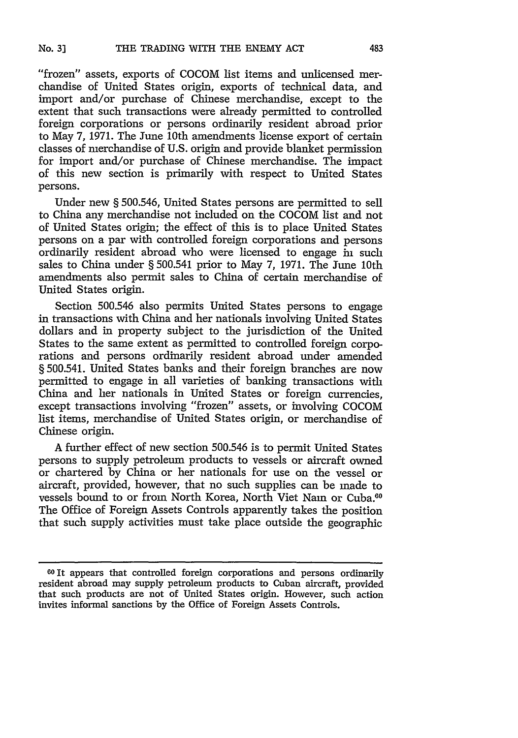"frozen" assets, exports of COCOM list items and unlicensed merchandise of United States origin, exports of technical data, and import and/or purchase of Chinese merchandise, except to the extent that such transactions were already permitted to controlled foreign corporations or persons ordinarily resident abroad prior to May 7, 1971. The June 10th amendments license export of certain classes of merchandise of U.S. origin and provide blanket permission for import and/or purchase of Chinese merchandise. The impact of this new section is primarily with respect to United States persons.

Under new § 500.546, United States persons are permitted to sell to China any merchandise not included on the COCOM list and not of United States origin; the effect of this is to place United States persons on a par with controlled foreign corporations and persons ordinarily resident abroad who were licensed to engage in such sales to China under § 500.541 prior to May 7, 1971. The June 10th amendments also permit sales to China of certain merchandise of United States origin.

Section 500.546 also permits United States persons to engage in transactions with China and her nationals involving United States dollars and in property subject to the jurisdiction of the United States to the same extent as permitted to controlled foreign corporations and persons ordinarily resident abroad under amended § 500.541. United States banks and their foreign branches are now permitted to engage in all varieties of banking transactions with China and her nationals in United States or foreign currencies, except transactions involving "frozen" assets, or involving COCOM list items, merchandise of United States origin, or merchandise of Chinese origin.

A further effect of new section 500.546 is to permit United States persons to supply petroleum products to vessels or aircraft owned or chartered by China or her nationals for use on the vessel or aircraft, provided, however, that no such supplies can be made to vessels bound to or from North Korea, North Viet Nam or Cuba.<sup>60</sup> The Office of Foreign Assets Controls apparently takes the position that such supply activities must take place outside the geographic

**<sup>60</sup>**It appears that controlled foreign corporations and persons ordinarily resident abroad may supply petroleum products to Cuban aircraft, provided that such products are not of United States origin. However, such action invites informal sanctions by the Office of Foreign Assets Controls.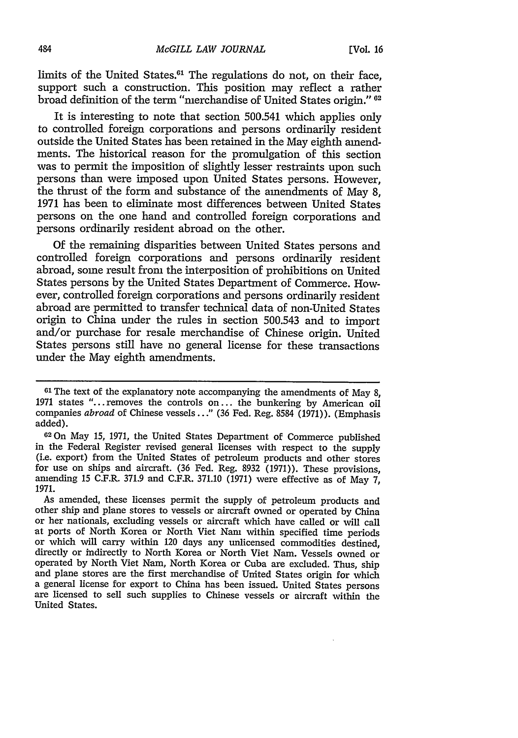limits of the United States.<sup>61</sup> The regulations do not, on their face, support such a construction. This position may reflect a rather broad definition of the term "merchandise of United States origin." <sup>02</sup>

It is interesting to note that section 500.541 which applies only to controlled foreign corporations and persons ordinarily resident outside the United States has been retained in the May eighth amendments. The historical reason for the promulgation of this section was to permit the imposition of slightly lesser restraints upon such persons than were imposed upon United States persons. However, the thrust of the form and substance of the amendments of May **8, 1971** has been to eliminate most differences between United States persons on the one hand and controlled foreign corporations and persons ordinarily resident abroad on the other.

**Of** the remaining disparities between United States persons and controlled foreign corporations and persons ordinarily resident abroad, some result from the interposition of prohibitions on United States persons **by** the United States Department of Commerce. However, controlled foreign corporations and persons ordinarily resident abroad are permitted to transfer technical data of non-United States origin to China under the rules in section **500.543** and to import and/or purchase for resale merchandise of Chinese origin. United States persons still have no general license for these transactions under the May eighth amendments.

As amended, these licenses permit the supply of petroleum products and other ship and plane stores to vessels or aircraft owned or operated **by** China or her nationals, excluding vessels or aircraft which have called or will call at ports of North Korea or North Viet Nam within specified time periods or which will carry within 120 days any unlicensed commodities destined, directly or indirectly to North Korea or North Viet Nam. Vessels owned or operated **by** North Viet Nam, North Korea or Cuba are excluded. Thus, ship and plane stores are the first merchandise of United States origin for which a general license for export to China has been issued. United States persons are licensed to sell such supplies to Chinese vessels or aircraft within the United States.

**<sup>61</sup>The** text of the explanatory note accompanying the amendments of May **8, <sup>1971</sup>**states "... removes the controls on **...** the bunkering **by** American oil companies *abroad* of Chinese vessels..." **(36** Fed. Reg. **8584 (1971)).** (Emphasis added).

<sup>62</sup> 0n May **15, 1971,** the United States Department of Commerce published in the Federal Register revised general licenses with respect to the supply (i.e. export) from the United States of petroleum products and other stores for use on ships and aircraft. **(36** Fed. Reg. **8932 (1971)).** These provisions, amending **15** C.F.R. **371.9** and C.F.R. **371.10 (1971)** were effective as of May **7, 1971.**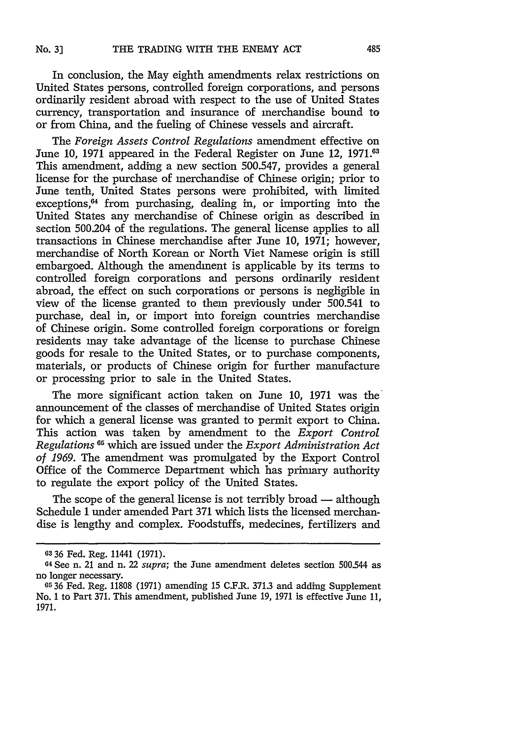In conclusion, the May eighth amendments relax restrictions on United States persons, controlled foreign corporations, and persons ordinarily resident abroad with respect to the use of United States currency, transportation and insurance of merchandise bound to or from China, and the fueling of Chinese vessels and aircraft.

The *Foreign Assets Control Regulations* amendment effective on June 10, 1971 appeared in the Federal Register on June 12, 1971.<sup>63</sup> This amendment, adding a new section 500.547, provides a general license for the purchase of merchandise of Chinese origin; prior to June tenth, United States persons were prohibited, with limited exceptions,<sup>64</sup> from purchasing, dealing in, or importing into the United States any merchandise of Chinese origin as described in section 500.204 of the regulations. The general license applies to all transactions in Chinese merchandise after June 10, 1971; however, merchandise of North Korean or North Viet Namese origin is still embargoed. Although the amendment is applicable by its terms to controlled foreign corporations and persons ordinarily resident abroad, the effect on such corporations or persons is negligible in view of the license granted to them previously under 500.541 to purchase, deal in, or import into foreign countries merchandise of Chinese origin. Some controlled foreign corporations or foreign residents may take advantage of the license to purchase Chinese goods for resale to the United States, or to purchase components, materials, or products of Chinese origin for further manufacture or processing prior to sale in the United States.

The more significant action taken on June 10, 1971 was the announcement of the classes of merchandise of United States origin for which a general license was granted to permit export to China. This action was taken by amendment to the *Export Control Regulations 3 <sup>5</sup>*which are issued under the *Export Administration Act of 1969.* The amendment was promulgated by the Export Control Office of the Commerce Department which has primary authority to regulate the export policy of the United States.

The scope of the general license is not terribly broad — although Schedule 1 under amended Part 371 which lists the licensed merchandise is lengthy and complex. Foodstuffs, medecines, fertilizers and

**<sup>03</sup>**36 Fed. Reg. 11441 (1971).

<sup>64</sup> See n. 21 and n. 22 *supra;* the June amendment deletes section 500.544 as no longer necessary.

**<sup>05</sup>36** Fed. Reg. 11808 (1971) amending 15 C.F.R. 371.3 and adding Supplement No. 1 to Part 371. This amendment, published June 19, 1971 is effective June 11, 1971.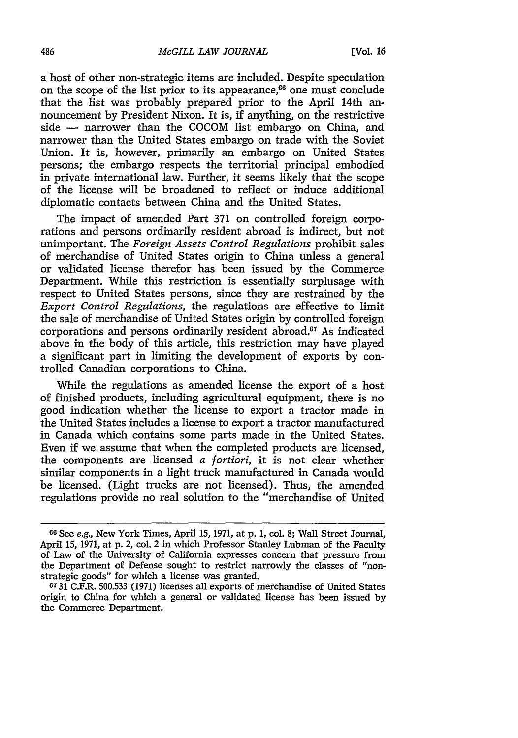a host of other non-strategic items are included. Despite speculation on the scope of the list prior to its appearance, $66$  one must conclude that the list was probably prepared prior to the April 14th announcement by President Nixon. It is, if anything, on the restrictive side **-** narrower than the COCOM list embargo on China, and narrower than the United States embargo on trade with the Soviet Union. It is, however, primarily an embargo on United States persons; the embargo respects the territorial principal embodied in private international law. Further, it seems likely that the scope of the license will be broadened to reflect or induce additional diplomatic contacts between China and the United States.

The impact of amended Part 371 on controlled foreign corporations and persons ordinarily resident abroad is indirect, but not unimportant. The *Foreign Assets Control Regulations* prohibit sales of merchandise of United States origin to China unless a general or validated license therefor has been issued by the Commerce Department. While this restriction is essentially surplusage with respect to United States persons, since they are restrained by the *Export Control Regulations,* the regulations are effective to limit the sale of merchandise of United States origin by controlled foreign corporations and persons ordinarily resident abroad.<sup>67</sup> As indicated above in the body of this article, this restriction may have played a significant part in limiting the development of exports by controlled Canadian corporations to China.

While the regulations as amended license the export of a host of finished products, including agricultural equipment, there is no good indication whether the license to export a tractor made in the United States includes a license to export a tractor manufactured in Canada which contains some parts made in the United States. Even if we assume that when the completed products are licensed, the components are licensed *a fortiori,* it is not clear whether similar components in a light truck manufactured in Canada would be licensed. (Light trucks are not licensed). Thus, the amended regulations provide no real solution to the "merchandise of United

**<sup>60</sup>**See e.g., New York Times, April 15, 1971, at **p.** 1, col. 8; Wall Street Journal, April 15, 1971, at p. 2, col. 2 in which Professor Stanley Lubman of the Faculty of Law of the University of California expresses concern that pressure from the Department of Defense sought to restrict narrowly the classes of "nonstrategic goods" for which a license was granted.

**<sup>67 31</sup>** C.F.R. 500.533 (1971) licenses all exports of merchandise of United States origin to China for which a general or validated license has been issued by the Commerce Department.